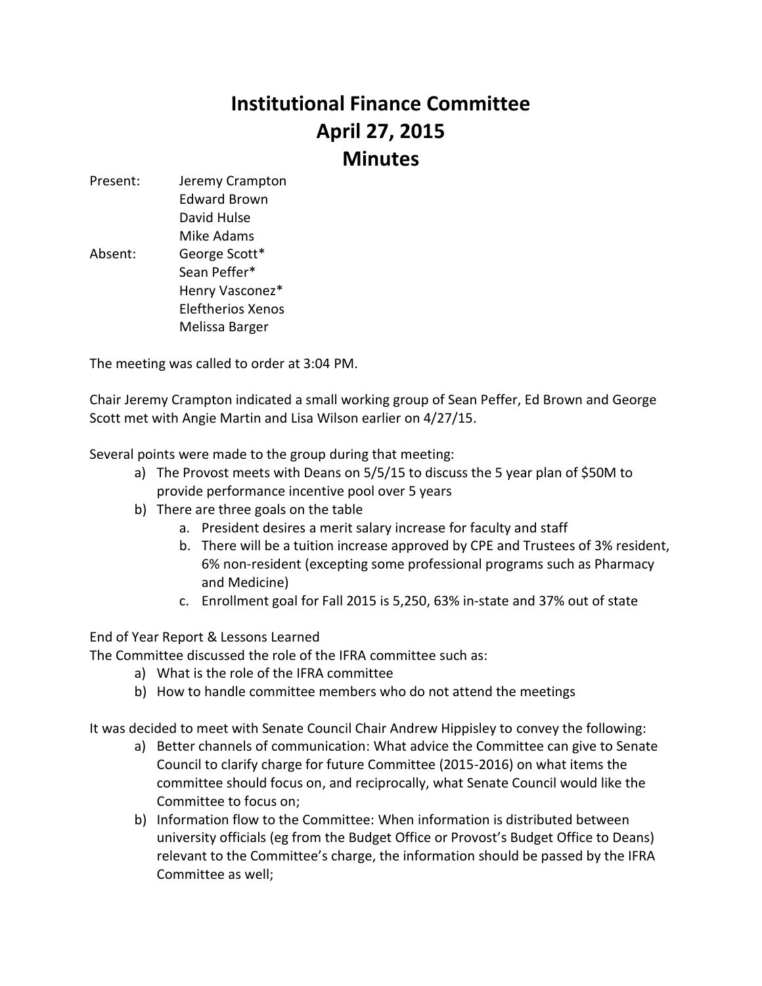## **Institutional Finance Committee April 27, 2015 Minutes**

Present: Jeremy Crampton Edward Brown David Hulse Mike Adams Absent: George Scott\* Sean Peffer\* Henry Vasconez\* Eleftherios Xenos Melissa Barger

The meeting was called to order at 3:04 PM.

Chair Jeremy Crampton indicated a small working group of Sean Peffer, Ed Brown and George Scott met with Angie Martin and Lisa Wilson earlier on 4/27/15.

Several points were made to the group during that meeting:

- a) The Provost meets with Deans on 5/5/15 to discuss the 5 year plan of \$50M to provide performance incentive pool over 5 years
- b) There are three goals on the table
	- a. President desires a merit salary increase for faculty and staff
	- b. There will be a tuition increase approved by CPE and Trustees of 3% resident, 6% non-resident (excepting some professional programs such as Pharmacy and Medicine)
	- c. Enrollment goal for Fall 2015 is 5,250, 63% in-state and 37% out of state

End of Year Report & Lessons Learned

The Committee discussed the role of the IFRA committee such as:

- a) What is the role of the IFRA committee
- b) How to handle committee members who do not attend the meetings

It was decided to meet with Senate Council Chair Andrew Hippisley to convey the following:

- a) Better channels of communication: What advice the Committee can give to Senate Council to clarify charge for future Committee (2015-2016) on what items the committee should focus on, and reciprocally, what Senate Council would like the Committee to focus on;
- b) Information flow to the Committee: When information is distributed between university officials (eg from the Budget Office or Provost's Budget Office to Deans) relevant to the Committee's charge, the information should be passed by the IFRA Committee as well;